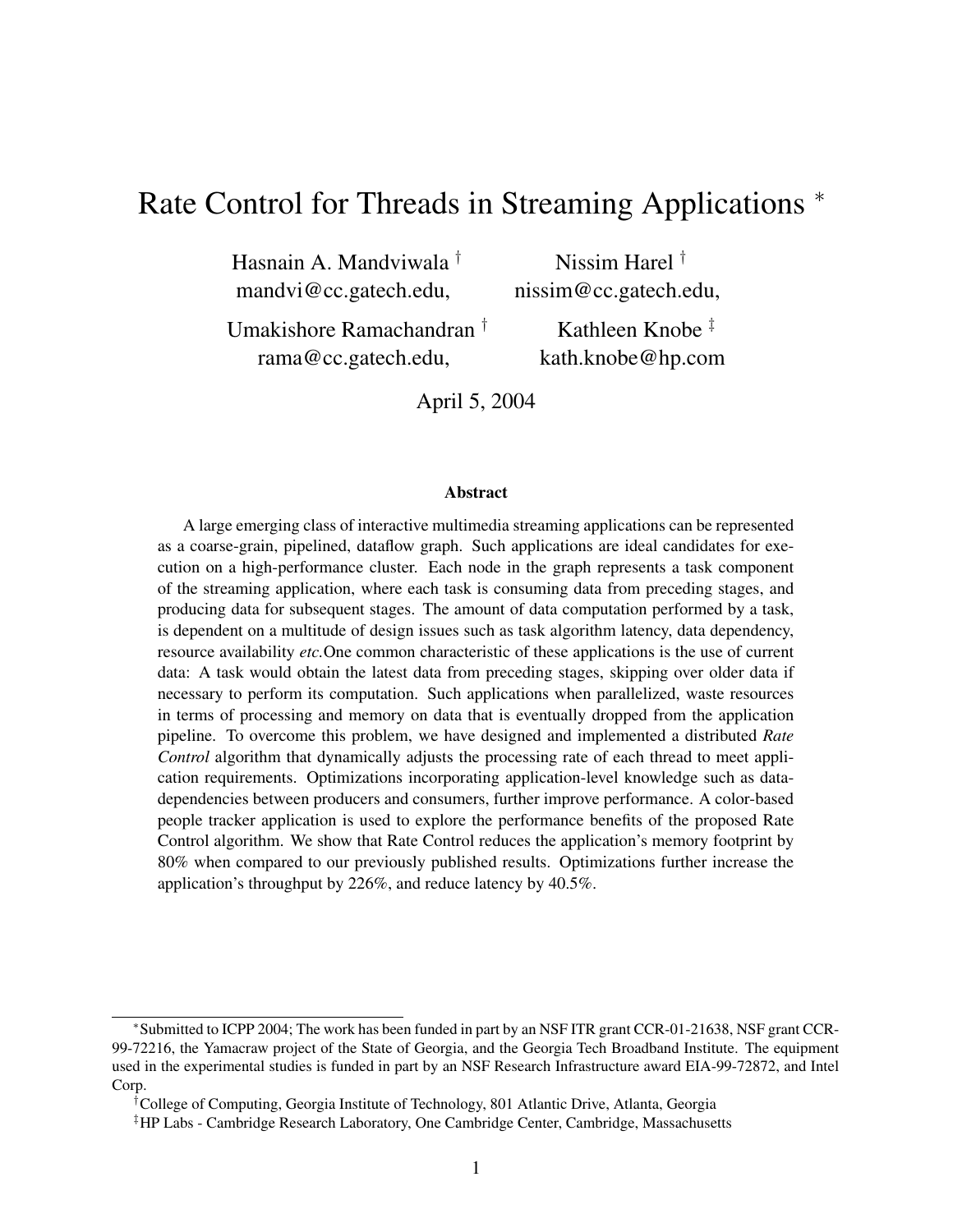## Rate Control for Threads in Streaming Applications <sup>∗</sup>

Hasnain A. Mandviwala † mandvi@cc.gatech.edu,

Nissim Harel † nissim@cc.gatech.edu,

Umakishore Ramachandran † rama@cc.gatech.edu,

Kathleen Knobe ‡ kath.knobe@hp.com

April 5, 2004

#### **Abstract**

A large emerging class of interactive multimedia streaming applications can be represented as a coarse-grain, pipelined, dataflow graph. Such applications are ideal candidates for execution on a high-performance cluster. Each node in the graph represents a task component of the streaming application, where each task is consuming data from preceding stages, and producing data for subsequent stages. The amount of data computation performed by a task, is dependent on a multitude of design issues such as task algorithm latency, data dependency, resource availability *etc.*One common characteristic of these applications is the use of current data: A task would obtain the latest data from preceding stages, skipping over older data if necessary to perform its computation. Such applications when parallelized, waste resources in terms of processing and memory on data that is eventually dropped from the application pipeline. To overcome this problem, we have designed and implemented a distributed *Rate Control* algorithm that dynamically adjusts the processing rate of each thread to meet application requirements. Optimizations incorporating application-level knowledge such as datadependencies between producers and consumers, further improve performance. A color-based people tracker application is used to explore the performance benefits of the proposed Rate Control algorithm. We show that Rate Control reduces the application's memory footprint by 80% when compared to our previously published results. Optimizations further increase the application's throughput by 226%, and reduce latency by 40.5%.

<sup>∗</sup>Submitted to ICPP 2004; The work has been funded in part by an NSF ITR grant CCR-01-21638, NSF grant CCR-99-72216, the Yamacraw project of the State of Georgia, and the Georgia Tech Broadband Institute. The equipment used in the experimental studies is funded in part by an NSF Research Infrastructure award EIA-99-72872, and Intel Corp.

<sup>†</sup>College of Computing, Georgia Institute of Technology, 801 Atlantic Drive, Atlanta, Georgia

<sup>‡</sup>HP Labs - Cambridge Research Laboratory, One Cambridge Center, Cambridge, Massachusetts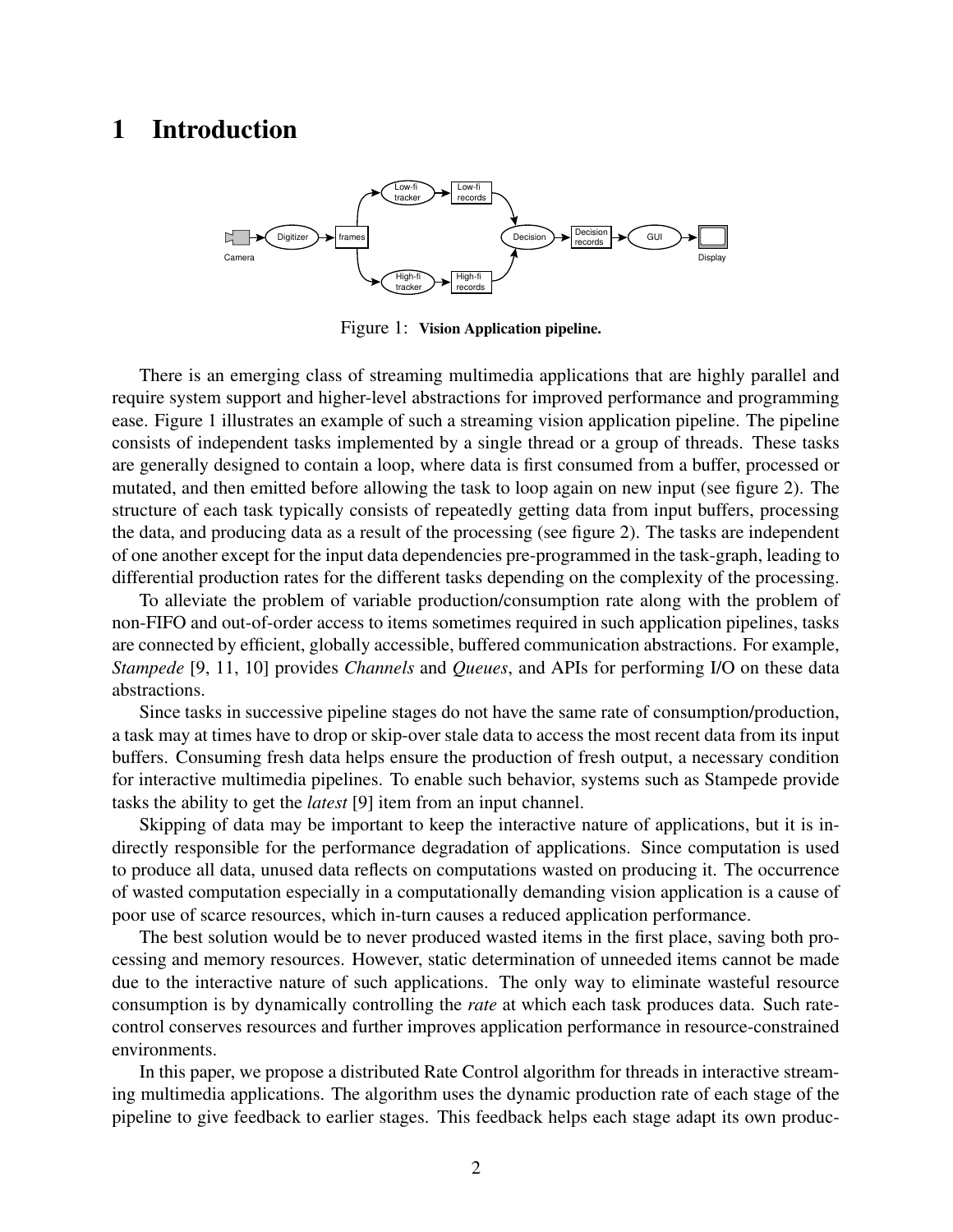## **1 Introduction**



Figure 1: **Vision Application pipeline.**

There is an emerging class of streaming multimedia applications that are highly parallel and require system support and higher-level abstractions for improved performance and programming ease. Figure 1 illustrates an example of such a streaming vision application pipeline. The pipeline consists of independent tasks implemented by a single thread or a group of threads. These tasks are generally designed to contain a loop, where data is first consumed from a buffer, processed or mutated, and then emitted before allowing the task to loop again on new input (see figure 2). The structure of each task typically consists of repeatedly getting data from input buffers, processing the data, and producing data as a result of the processing (see figure 2). The tasks are independent of one another except for the input data dependencies pre-programmed in the task-graph, leading to differential production rates for the different tasks depending on the complexity of the processing.

To alleviate the problem of variable production/consumption rate along with the problem of non-FIFO and out-of-order access to items sometimes required in such application pipelines, tasks are connected by efficient, globally accessible, buffered communication abstractions. For example, *Stampede* [9, 11, 10] provides *Channels* and *Queues*, and APIs for performing I/O on these data abstractions.

Since tasks in successive pipeline stages do not have the same rate of consumption/production, a task may at times have to drop or skip-over stale data to access the most recent data from its input buffers. Consuming fresh data helps ensure the production of fresh output, a necessary condition for interactive multimedia pipelines. To enable such behavior, systems such as Stampede provide tasks the ability to get the *latest* [9] item from an input channel.

Skipping of data may be important to keep the interactive nature of applications, but it is indirectly responsible for the performance degradation of applications. Since computation is used to produce all data, unused data reflects on computations wasted on producing it. The occurrence of wasted computation especially in a computationally demanding vision application is a cause of poor use of scarce resources, which in-turn causes a reduced application performance.

The best solution would be to never produced wasted items in the first place, saving both processing and memory resources. However, static determination of unneeded items cannot be made due to the interactive nature of such applications. The only way to eliminate wasteful resource consumption is by dynamically controlling the *rate* at which each task produces data. Such ratecontrol conserves resources and further improves application performance in resource-constrained environments.

In this paper, we propose a distributed Rate Control algorithm for threads in interactive streaming multimedia applications. The algorithm uses the dynamic production rate of each stage of the pipeline to give feedback to earlier stages. This feedback helps each stage adapt its own produc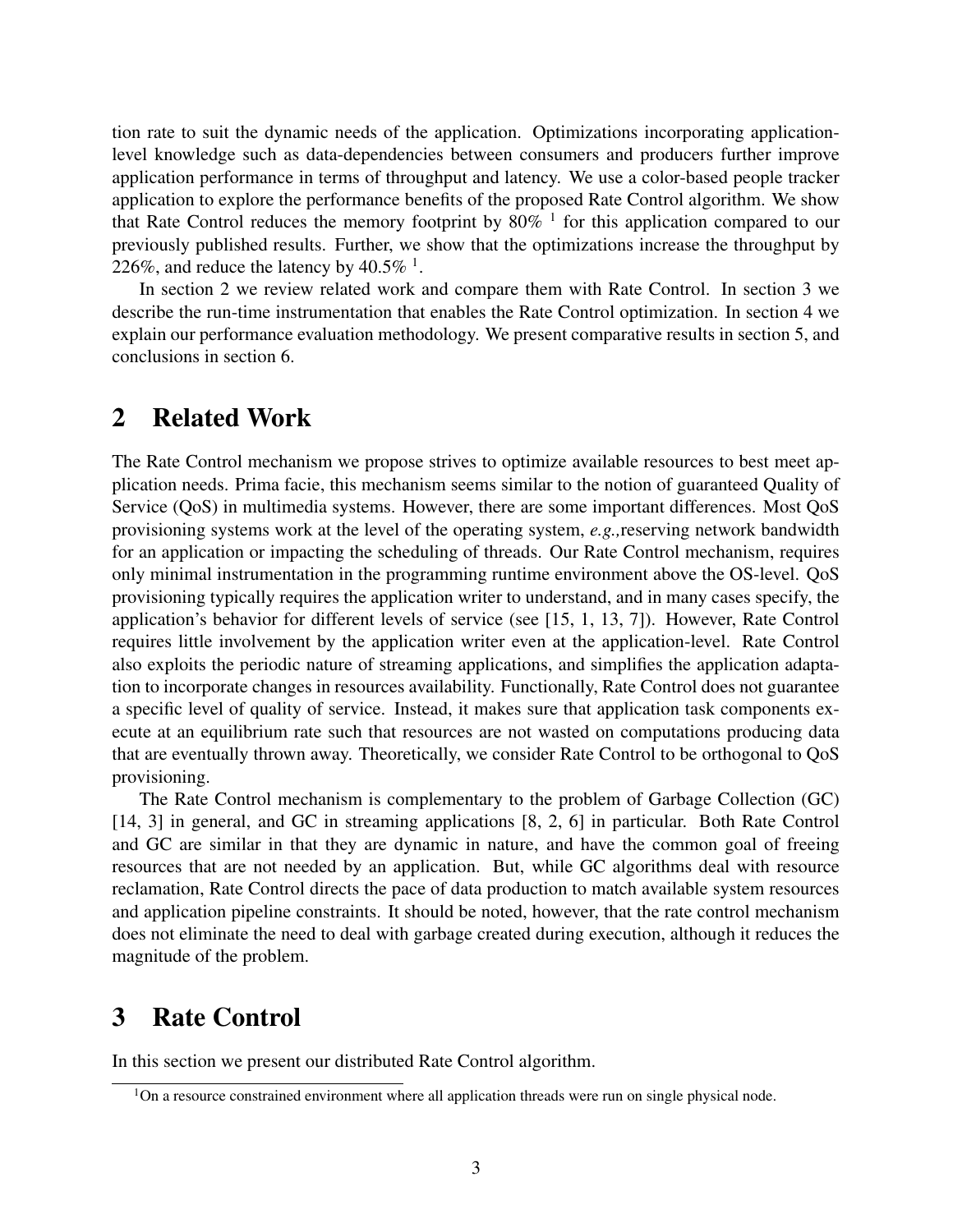tion rate to suit the dynamic needs of the application. Optimizations incorporating applicationlevel knowledge such as data-dependencies between consumers and producers further improve application performance in terms of throughput and latency. We use a color-based people tracker application to explore the performance benefits of the proposed Rate Control algorithm. We show that Rate Control reduces the memory footprint by  $80\%$  <sup>1</sup> for this application compared to our previously published results. Further, we show that the optimizations increase the throughput by 226%, and reduce the latency by  $40.5\%$ <sup>1</sup>.

In section 2 we review related work and compare them with Rate Control. In section 3 we describe the run-time instrumentation that enables the Rate Control optimization. In section 4 we explain our performance evaluation methodology. We present comparative results in section 5, and conclusions in section 6.

## **2 Related Work**

The Rate Control mechanism we propose strives to optimize available resources to best meet application needs. Prima facie, this mechanism seems similar to the notion of guaranteed Quality of Service (QoS) in multimedia systems. However, there are some important differences. Most QoS provisioning systems work at the level of the operating system, *e.g.,*reserving network bandwidth for an application or impacting the scheduling of threads. Our Rate Control mechanism, requires only minimal instrumentation in the programming runtime environment above the OS-level. QoS provisioning typically requires the application writer to understand, and in many cases specify, the application's behavior for different levels of service (see [15, 1, 13, 7]). However, Rate Control requires little involvement by the application writer even at the application-level. Rate Control also exploits the periodic nature of streaming applications, and simplifies the application adaptation to incorporate changes in resources availability. Functionally, Rate Control does not guarantee a specific level of quality of service. Instead, it makes sure that application task components execute at an equilibrium rate such that resources are not wasted on computations producing data that are eventually thrown away. Theoretically, we consider Rate Control to be orthogonal to QoS provisioning.

The Rate Control mechanism is complementary to the problem of Garbage Collection (GC) [14, 3] in general, and GC in streaming applications [8, 2, 6] in particular. Both Rate Control and GC are similar in that they are dynamic in nature, and have the common goal of freeing resources that are not needed by an application. But, while GC algorithms deal with resource reclamation, Rate Control directs the pace of data production to match available system resources and application pipeline constraints. It should be noted, however, that the rate control mechanism does not eliminate the need to deal with garbage created during execution, although it reduces the magnitude of the problem.

## **3 Rate Control**

In this section we present our distributed Rate Control algorithm.

 $1$ On a resource constrained environment where all application threads were run on single physical node.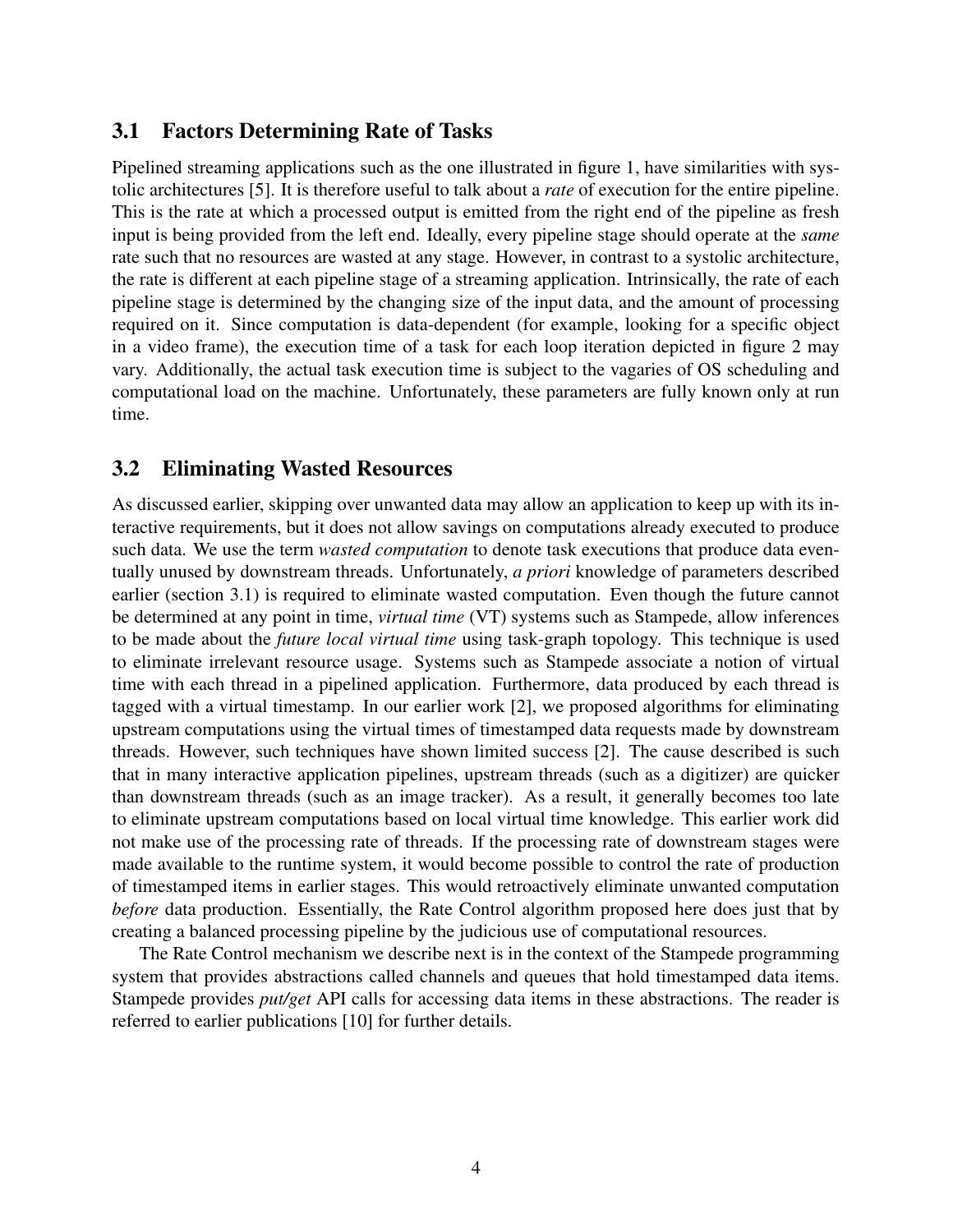### **3.1 Factors Determining Rate of Tasks**

Pipelined streaming applications such as the one illustrated in figure 1, have similarities with systolic architectures [5]. It is therefore useful to talk about a *rate* of execution for the entire pipeline. This is the rate at which a processed output is emitted from the right end of the pipeline as fresh input is being provided from the left end. Ideally, every pipeline stage should operate at the *same* rate such that no resources are wasted at any stage. However, in contrast to a systolic architecture, the rate is different at each pipeline stage of a streaming application. Intrinsically, the rate of each pipeline stage is determined by the changing size of the input data, and the amount of processing required on it. Since computation is data-dependent (for example, looking for a specific object in a video frame), the execution time of a task for each loop iteration depicted in figure 2 may vary. Additionally, the actual task execution time is subject to the vagaries of OS scheduling and computational load on the machine. Unfortunately, these parameters are fully known only at run time.

### **3.2 Eliminating Wasted Resources**

As discussed earlier, skipping over unwanted data may allow an application to keep up with its interactive requirements, but it does not allow savings on computations already executed to produce such data. We use the term *wasted computation* to denote task executions that produce data eventually unused by downstream threads. Unfortunately, *a priori* knowledge of parameters described earlier (section 3.1) is required to eliminate wasted computation. Even though the future cannot be determined at any point in time, *virtual time* (VT) systems such as Stampede, allow inferences to be made about the *future local virtual time* using task-graph topology. This technique is used to eliminate irrelevant resource usage. Systems such as Stampede associate a notion of virtual time with each thread in a pipelined application. Furthermore, data produced by each thread is tagged with a virtual timestamp. In our earlier work [2], we proposed algorithms for eliminating upstream computations using the virtual times of timestamped data requests made by downstream threads. However, such techniques have shown limited success [2]. The cause described is such that in many interactive application pipelines, upstream threads (such as a digitizer) are quicker than downstream threads (such as an image tracker). As a result, it generally becomes too late to eliminate upstream computations based on local virtual time knowledge. This earlier work did not make use of the processing rate of threads. If the processing rate of downstream stages were made available to the runtime system, it would become possible to control the rate of production of timestamped items in earlier stages. This would retroactively eliminate unwanted computation *before* data production. Essentially, the Rate Control algorithm proposed here does just that by creating a balanced processing pipeline by the judicious use of computational resources.

The Rate Control mechanism we describe next is in the context of the Stampede programming system that provides abstractions called channels and queues that hold timestamped data items. Stampede provides *put/get* API calls for accessing data items in these abstractions. The reader is referred to earlier publications [10] for further details.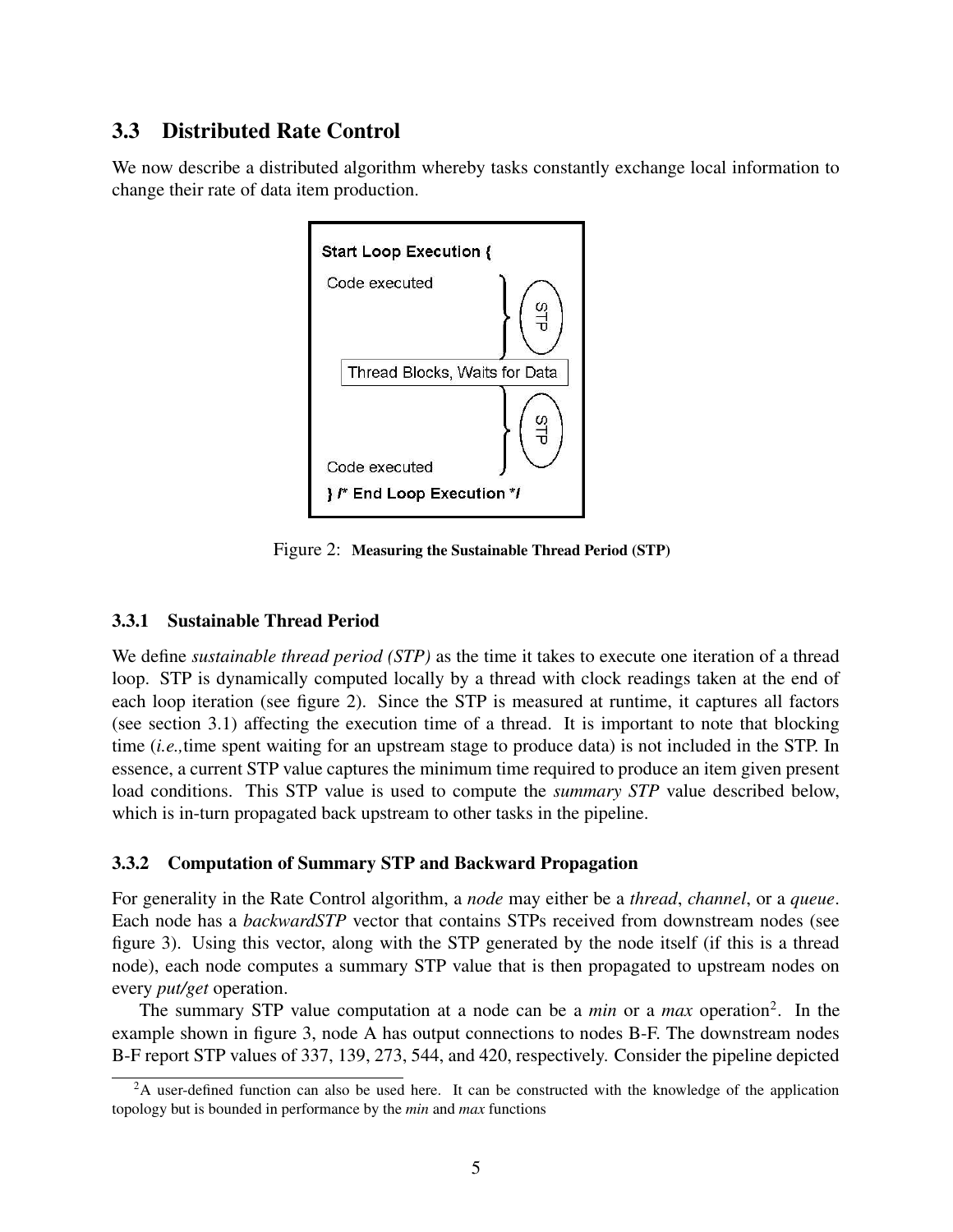### **3.3 Distributed Rate Control**

We now describe a distributed algorithm whereby tasks constantly exchange local information to change their rate of data item production.



Figure 2: **Measuring the Sustainable Thread Period (STP)**

#### **3.3.1 Sustainable Thread Period**

We define *sustainable thread period (STP)* as the time it takes to execute one iteration of a thread loop. STP is dynamically computed locally by a thread with clock readings taken at the end of each loop iteration (see figure 2). Since the STP is measured at runtime, it captures all factors (see section 3.1) affecting the execution time of a thread. It is important to note that blocking time (*i.e.,*time spent waiting for an upstream stage to produce data) is not included in the STP. In essence, a current STP value captures the minimum time required to produce an item given present load conditions. This STP value is used to compute the *summary STP* value described below, which is in-turn propagated back upstream to other tasks in the pipeline.

#### **3.3.2 Computation of Summary STP and Backward Propagation**

For generality in the Rate Control algorithm, a *node* may either be a *thread*, *channel*, or a *queue*. Each node has a *backwardSTP* vector that contains STPs received from downstream nodes (see figure 3). Using this vector, along with the STP generated by the node itself (if this is a thread node), each node computes a summary STP value that is then propagated to upstream nodes on every *put/get* operation.

The summary STP value computation at a node can be a *min* or a *max* operation<sup>2</sup>. In the example shown in figure 3, node A has output connections to nodes B-F. The downstream nodes B-F report STP values of 337, 139, 273, 544, and 420, respectively. Consider the pipeline depicted

<sup>&</sup>lt;sup>2</sup>A user-defined function can also be used here. It can be constructed with the knowledge of the application topology but is bounded in performance by the *min* and *max* functions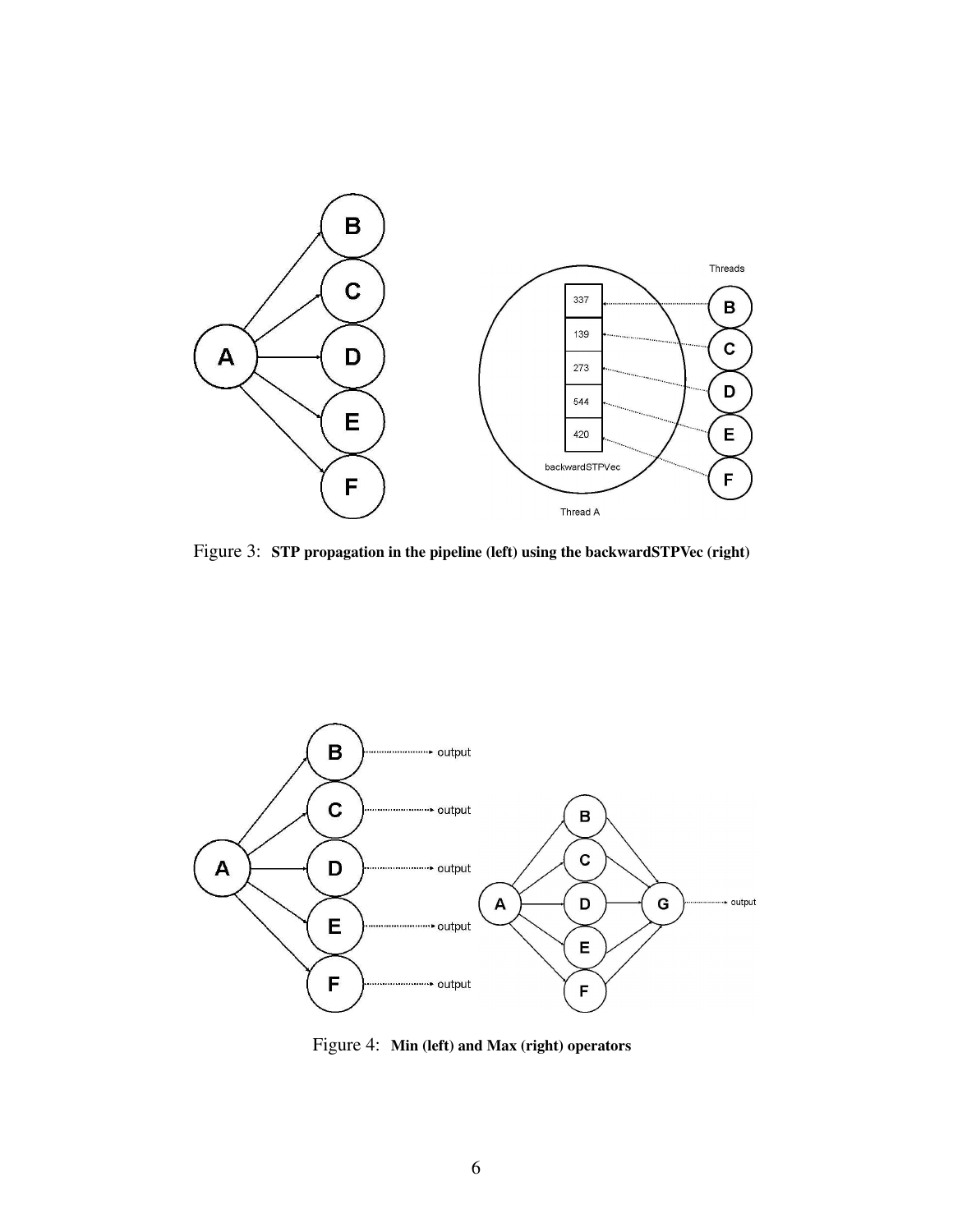

Figure 3: **STP propagation in the pipeline (left) using the backwardSTPVec (right)**



Figure 4: **Min (left) and Max (right) operators**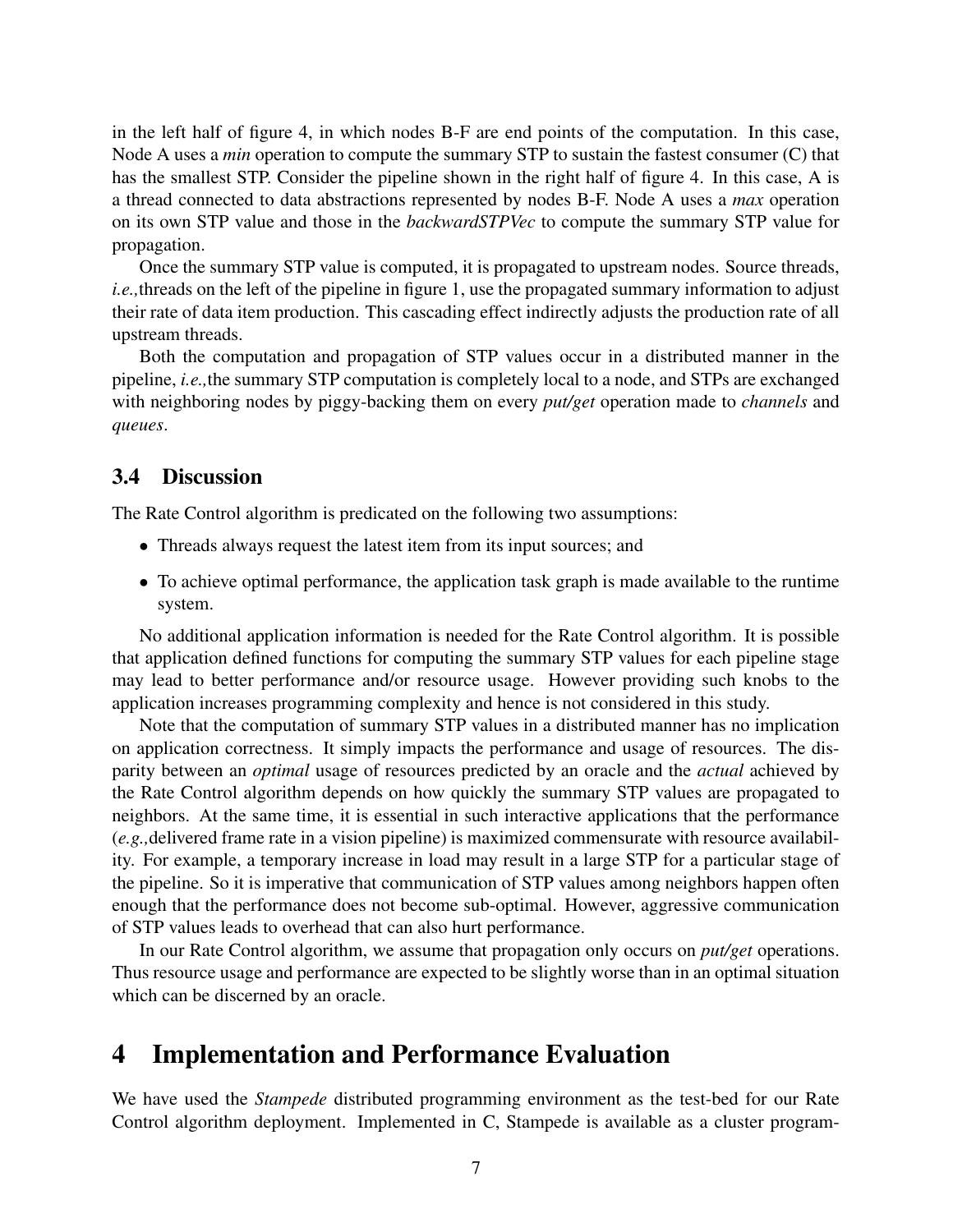in the left half of figure 4, in which nodes B-F are end points of the computation. In this case, Node A uses a *min* operation to compute the summary STP to sustain the fastest consumer (C) that has the smallest STP. Consider the pipeline shown in the right half of figure 4. In this case, A is a thread connected to data abstractions represented by nodes B-F. Node A uses a *max* operation on its own STP value and those in the *backwardSTPVec* to compute the summary STP value for propagation.

Once the summary STP value is computed, it is propagated to upstream nodes. Source threads, *i.e.,*threads on the left of the pipeline in figure 1, use the propagated summary information to adjust their rate of data item production. This cascading effect indirectly adjusts the production rate of all upstream threads.

Both the computation and propagation of STP values occur in a distributed manner in the pipeline, *i.e.,*the summary STP computation is completely local to a node, and STPs are exchanged with neighboring nodes by piggy-backing them on every *put/get* operation made to *channels* and *queues*.

#### **3.4 Discussion**

The Rate Control algorithm is predicated on the following two assumptions:

- Threads always request the latest item from its input sources; and
- To achieve optimal performance, the application task graph is made available to the runtime system.

No additional application information is needed for the Rate Control algorithm. It is possible that application defined functions for computing the summary STP values for each pipeline stage may lead to better performance and/or resource usage. However providing such knobs to the application increases programming complexity and hence is not considered in this study.

Note that the computation of summary STP values in a distributed manner has no implication on application correctness. It simply impacts the performance and usage of resources. The disparity between an *optimal* usage of resources predicted by an oracle and the *actual* achieved by the Rate Control algorithm depends on how quickly the summary STP values are propagated to neighbors. At the same time, it is essential in such interactive applications that the performance (*e.g.,*delivered frame rate in a vision pipeline) is maximized commensurate with resource availability. For example, a temporary increase in load may result in a large STP for a particular stage of the pipeline. So it is imperative that communication of STP values among neighbors happen often enough that the performance does not become sub-optimal. However, aggressive communication of STP values leads to overhead that can also hurt performance.

In our Rate Control algorithm, we assume that propagation only occurs on *put/get* operations. Thus resource usage and performance are expected to be slightly worse than in an optimal situation which can be discerned by an oracle.

## **4 Implementation and Performance Evaluation**

We have used the *Stampede* distributed programming environment as the test-bed for our Rate Control algorithm deployment. Implemented in C, Stampede is available as a cluster program-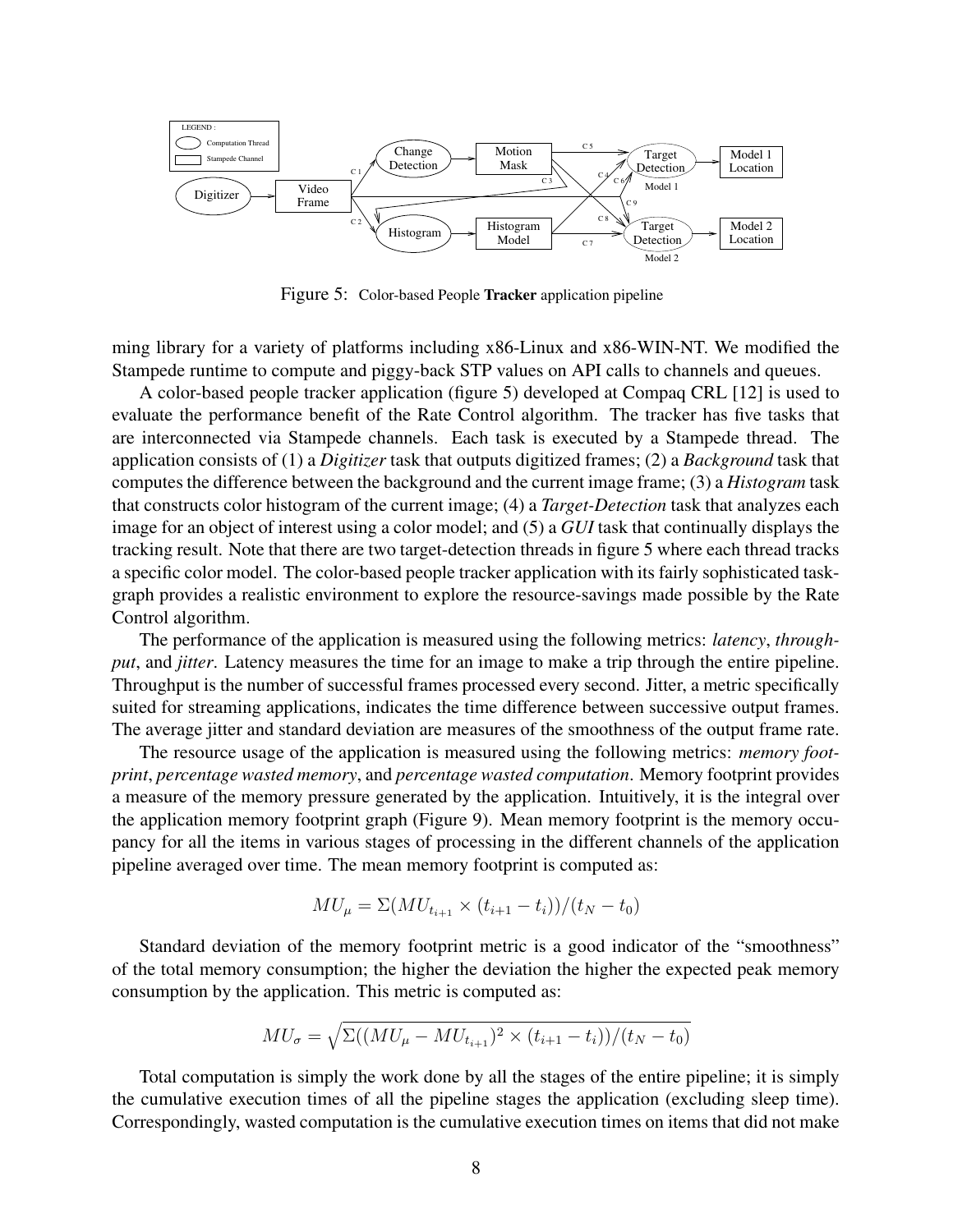

Figure 5: Color-based People **Tracker** application pipeline

ming library for a variety of platforms including x86-Linux and x86-WIN-NT. We modified the Stampede runtime to compute and piggy-back STP values on API calls to channels and queues.

A color-based people tracker application (figure 5) developed at Compaq CRL [12] is used to evaluate the performance benefit of the Rate Control algorithm. The tracker has five tasks that are interconnected via Stampede channels. Each task is executed by a Stampede thread. The application consists of (1) a *Digitizer* task that outputs digitized frames; (2) a *Background* task that computes the difference between the background and the current image frame; (3) a *Histogram* task that constructs color histogram of the current image; (4) a *Target-Detection* task that analyzes each image for an object of interest using a color model; and (5) a *GUI* task that continually displays the tracking result. Note that there are two target-detection threads in figure 5 where each thread tracks a specific color model. The color-based people tracker application with its fairly sophisticated taskgraph provides a realistic environment to explore the resource-savings made possible by the Rate Control algorithm.

The performance of the application is measured using the following metrics: *latency*, *throughput*, and *jitter*. Latency measures the time for an image to make a trip through the entire pipeline. Throughput is the number of successful frames processed every second. Jitter, a metric specifically suited for streaming applications, indicates the time difference between successive output frames. The average jitter and standard deviation are measures of the smoothness of the output frame rate.

The resource usage of the application is measured using the following metrics: *memory footprint*, *percentage wasted memory*, and *percentage wasted computation*. Memory footprint provides a measure of the memory pressure generated by the application. Intuitively, it is the integral over the application memory footprint graph (Figure 9). Mean memory footprint is the memory occupancy for all the items in various stages of processing in the different channels of the application pipeline averaged over time. The mean memory footprint is computed as:

$$
MU_{\mu} = \Sigma (MU_{t_{i+1}} \times (t_{i+1} - t_i))/(t_N - t_0)
$$

Standard deviation of the memory footprint metric is a good indicator of the "smoothness" of the total memory consumption; the higher the deviation the higher the expected peak memory consumption by the application. This metric is computed as:

$$
MU_{\sigma} = \sqrt{\Sigma((MU_{\mu} - MU_{t_{i+1}})^2 \times (t_{i+1} - t_i))/(t_N - t_0)}
$$

Total computation is simply the work done by all the stages of the entire pipeline; it is simply the cumulative execution times of all the pipeline stages the application (excluding sleep time). Correspondingly, wasted computation is the cumulative execution times on items that did not make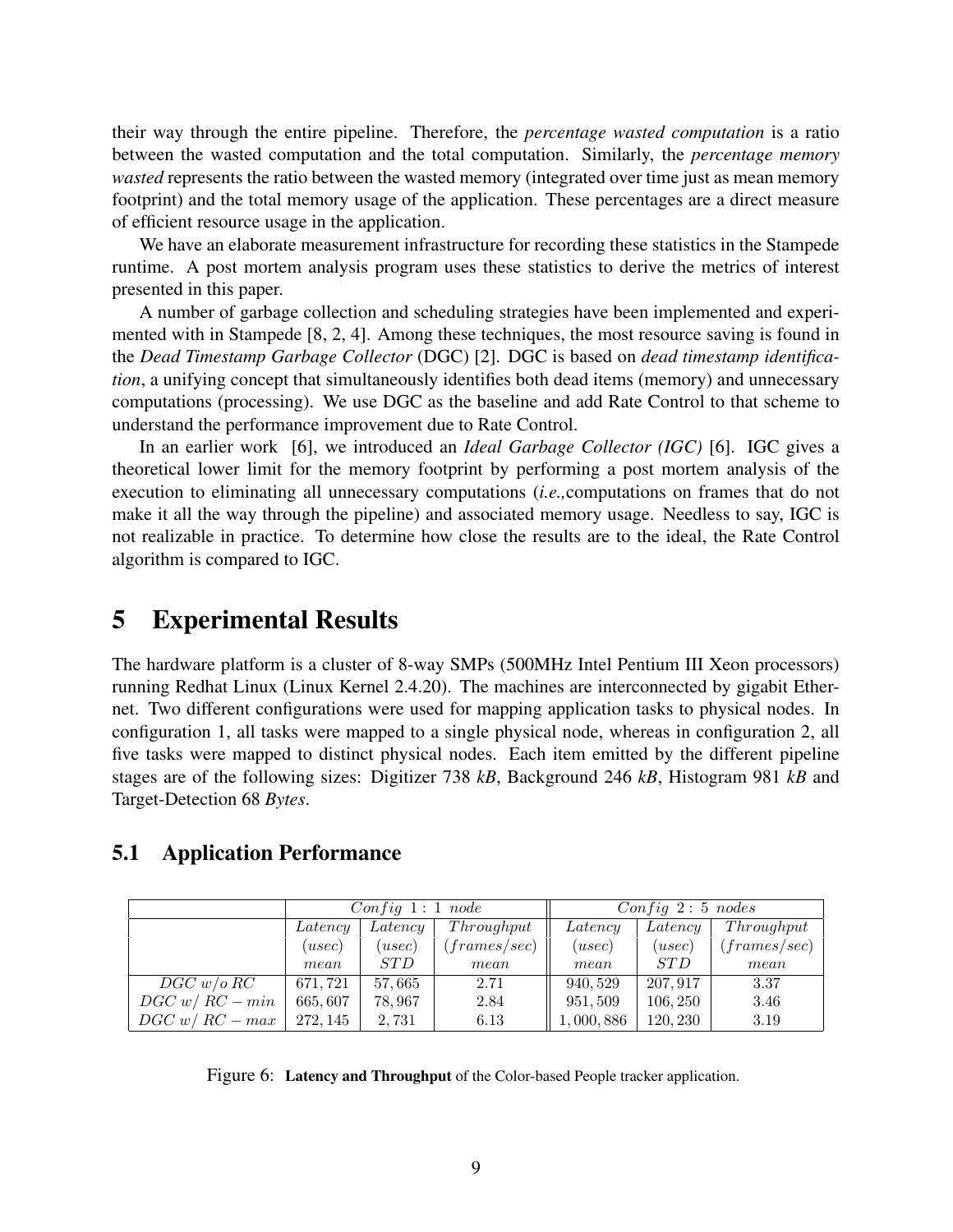their way through the entire pipeline. Therefore, the *percentage wasted computation* is a ratio between the wasted computation and the total computation. Similarly, the *percentage memory wasted* represents the ratio between the wasted memory (integrated over time just as mean memory footprint) and the total memory usage of the application. These percentages are a direct measure of efficient resource usage in the application.

We have an elaborate measurement infrastructure for recording these statistics in the Stampede runtime. A post mortem analysis program uses these statistics to derive the metrics of interest presented in this paper.

A number of garbage collection and scheduling strategies have been implemented and experimented with in Stampede [8, 2, 4]. Among these techniques, the most resource saving is found in the *Dead Timestamp Garbage Collector* (DGC) [2]. DGC is based on *dead timestamp identification*, a unifying concept that simultaneously identifies both dead items (memory) and unnecessary computations (processing). We use DGC as the baseline and add Rate Control to that scheme to understand the performance improvement due to Rate Control.

In an earlier work [6], we introduced an *Ideal Garbage Collector (IGC)* [6]. IGC gives a theoretical lower limit for the memory footprint by performing a post mortem analysis of the execution to eliminating all unnecessary computations (*i.e.,*computations on frames that do not make it all the way through the pipeline) and associated memory usage. Needless to say, IGC is not realizable in practice. To determine how close the results are to the ideal, the Rate Control algorithm is compared to IGC.

## **5 Experimental Results**

The hardware platform is a cluster of 8-way SMPs (500MHz Intel Pentium III Xeon processors) running Redhat Linux (Linux Kernel 2.4.20). The machines are interconnected by gigabit Ethernet. Two different configurations were used for mapping application tasks to physical nodes. In configuration 1, all tasks were mapped to a single physical node, whereas in configuration 2, all five tasks were mapped to distinct physical nodes. Each item emitted by the different pipeline stages are of the following sizes: Digitizer 738 *kB*, Background 246 *kB*, Histogram 981 *kB* and Target-Detection 68 *Bytes*.

### **5.1 Application Performance**

|                   | Config 1: 1 node |            |              | $Config\ 2:5\ nodes$ |            |              |
|-------------------|------------------|------------|--------------|----------------------|------------|--------------|
|                   | Latency          | Latency    | Throughput   | Latency              | Latency    | Throughput   |
|                   | (usec)           | (usec)     | (frames/sec) | (usec)               | (usec)     | (frames/sec) |
|                   | mean             | <i>STD</i> | mean         | mean                 | <i>STD</i> | mean         |
| DGC w/o RC        | 671, 721         | 57,665     | 2.71         | 940, 529             | 207, 917   | 3.37         |
| $DGC\ w/RC-min$   | 665,607          | 78,967     | 2.84         | 951, 509             | 106, 250   | 3.46         |
| $DGC\ w/RC - max$ | 272, 145         | 2,731      | 6.13         | 1,000,886            | 120, 230   | 3.19         |

Figure 6: **Latency and Throughput** of the Color-based People tracker application.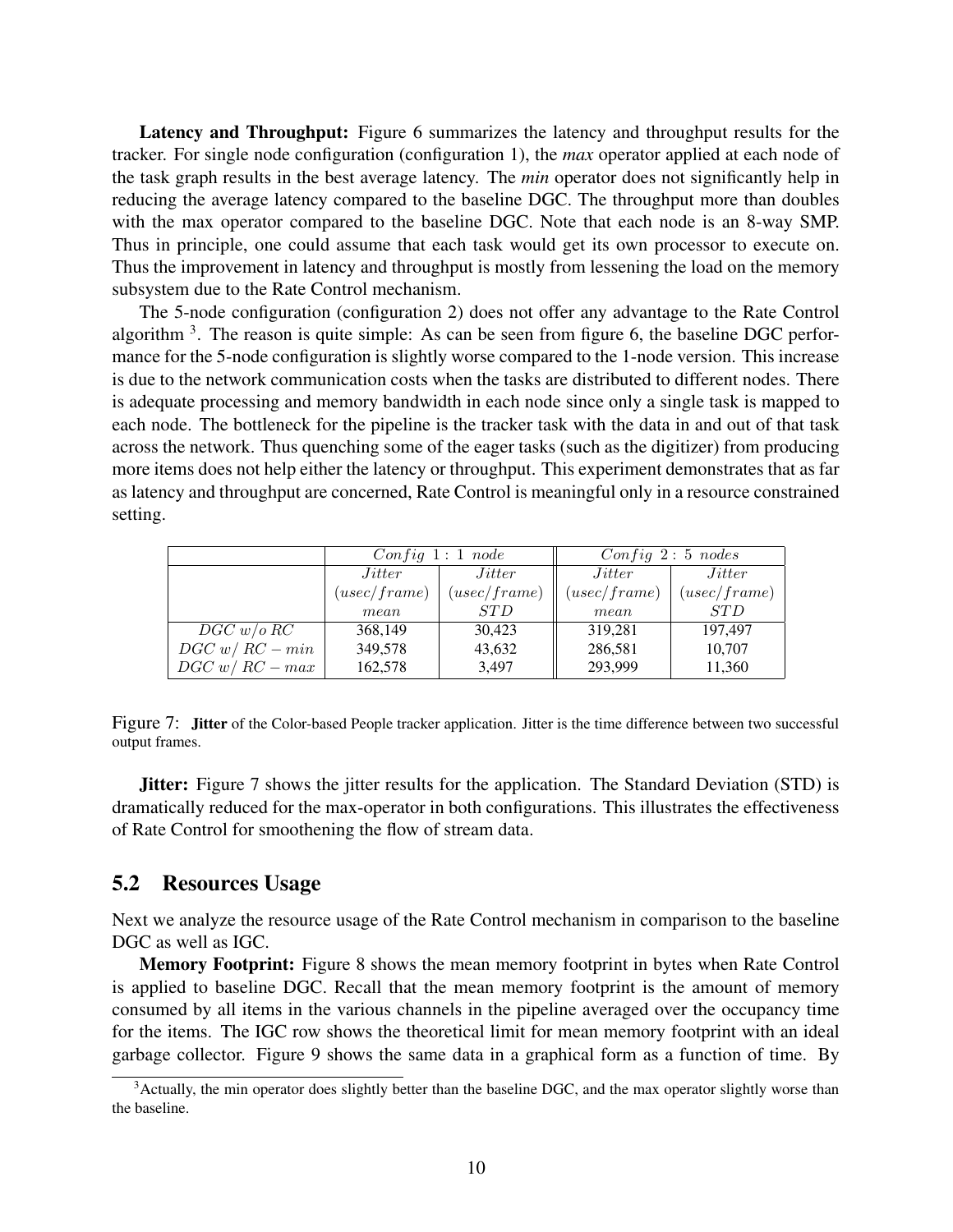**Latency and Throughput:** Figure 6 summarizes the latency and throughput results for the tracker. For single node configuration (configuration 1), the *max* operator applied at each node of the task graph results in the best average latency. The *min* operator does not significantly help in reducing the average latency compared to the baseline DGC. The throughput more than doubles with the max operator compared to the baseline DGC. Note that each node is an 8-way SMP. Thus in principle, one could assume that each task would get its own processor to execute on. Thus the improvement in latency and throughput is mostly from lessening the load on the memory subsystem due to the Rate Control mechanism.

The 5-node configuration (configuration 2) does not offer any advantage to the Rate Control algorithm  $3$ . The reason is quite simple: As can be seen from figure 6, the baseline DGC performance for the 5-node configuration is slightly worse compared to the 1-node version. This increase is due to the network communication costs when the tasks are distributed to different nodes. There is adequate processing and memory bandwidth in each node since only a single task is mapped to each node. The bottleneck for the pipeline is the tracker task with the data in and out of that task across the network. Thus quenching some of the eager tasks (such as the digitizer) from producing more items does not help either the latency or throughput. This experiment demonstrates that as far as latency and throughput are concerned, Rate Control is meaningful only in a resource constrained setting.

|                   |               | Config 1: 1 node | $Config\ 2:5\ nodes$ |              |  |
|-------------------|---------------|------------------|----------------------|--------------|--|
|                   | <i>Jitter</i> | <i>Jitter</i>    | <i>Jitter</i>        | Jitter       |  |
|                   | (usec/frame)  | (usec/frame)     | (usec/frame)         | (usec/frame) |  |
|                   | mean          | <i>STD</i>       | mean                 | <i>STD</i>   |  |
| DGC w/o RC        | 368,149       | 30.423           | 319,281              | 197.497      |  |
| $DGC\ w/RC-min$   | 349,578       | 43,632           | 286,581              | 10,707       |  |
| $DGC\ w/RC - max$ | 162,578       | 3.497            | 293,999              | 11,360       |  |

Figure 7: **Jitter** of the Color-based People tracker application. Jitter is the time difference between two successful output frames.

**Jitter:** Figure 7 shows the jitter results for the application. The Standard Deviation (STD) is dramatically reduced for the max-operator in both configurations. This illustrates the effectiveness of Rate Control for smoothening the flow of stream data.

#### **5.2 Resources Usage**

Next we analyze the resource usage of the Rate Control mechanism in comparison to the baseline DGC as well as IGC.

**Memory Footprint:** Figure 8 shows the mean memory footprint in bytes when Rate Control is applied to baseline DGC. Recall that the mean memory footprint is the amount of memory consumed by all items in the various channels in the pipeline averaged over the occupancy time for the items. The IGC row shows the theoretical limit for mean memory footprint with an ideal garbage collector. Figure 9 shows the same data in a graphical form as a function of time. By

<sup>&</sup>lt;sup>3</sup>Actually, the min operator does slightly better than the baseline DGC, and the max operator slightly worse than the baseline.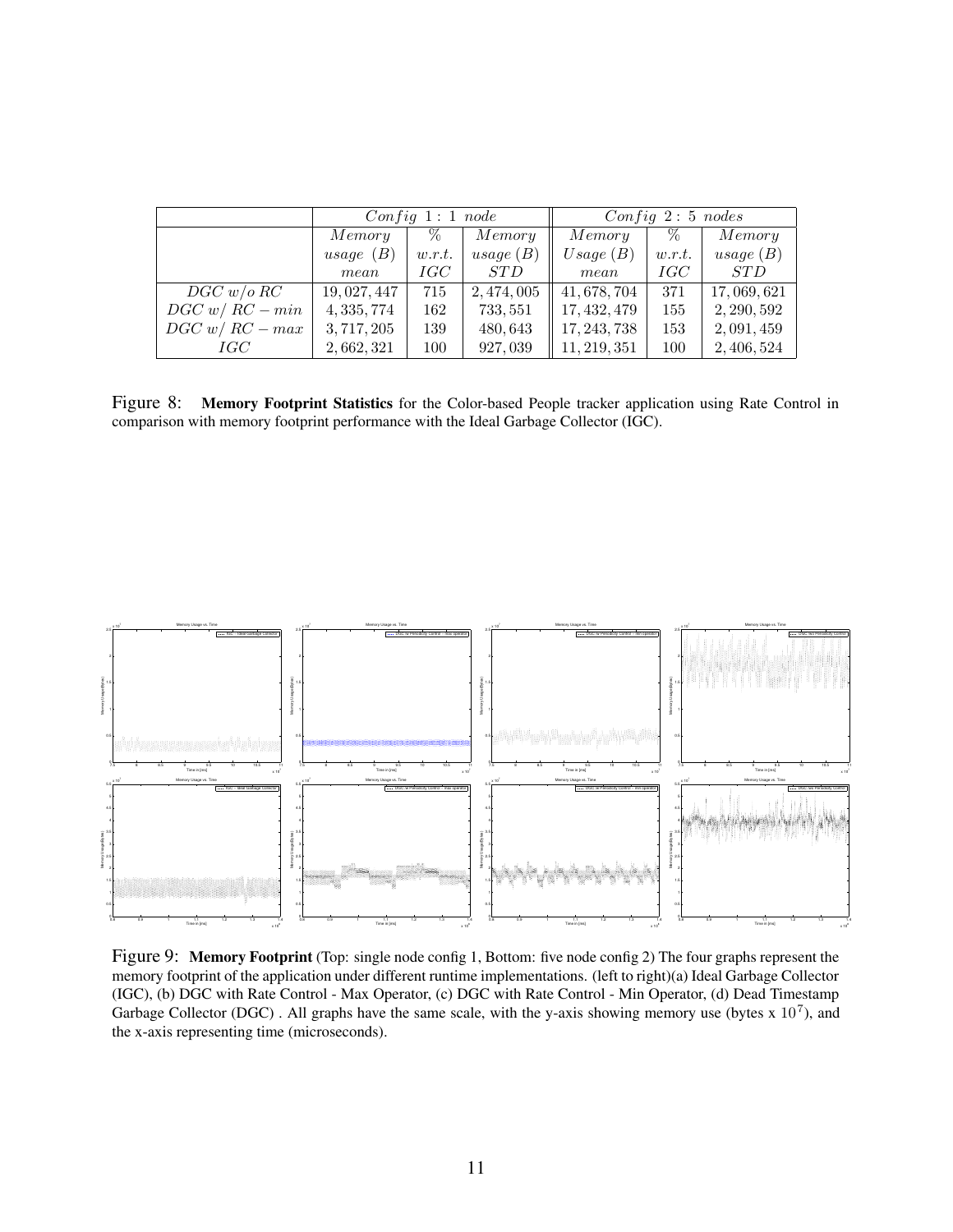|                   |              | Confiq 1:1 node |             | $Config\ 2:5\ nodes$ |        |             |
|-------------------|--------------|-----------------|-------------|----------------------|--------|-------------|
|                   | Memory       | $\%$            | Memory      | Memory               | $\%$   | Memory      |
|                   | usage $(B)$  | w.r.t.          | usage (B)   | Usage(B)             | w.r.t. | usage (B)   |
|                   | mean         | IGC             | <i>STD</i>  | mean                 | IGC    | <i>STD</i>  |
| $DGC$ w/o $RC$    | 19, 027, 447 | 715             | 2, 474, 005 | 41, 678, 704         | 371    | 17,069,621  |
| $DGC\ w/RC-min$   | 4, 335, 774  | 162             | 733, 551    | 17, 432, 479         | 155    | 2, 290, 592 |
| $DGC\ w/RC - max$ | 3, 717, 205  | 139             | 480,643     | 17, 243, 738         | 153    | 2,091,459   |
| IGC               | 2,662,321    | 100             | 927,039     | 11, 219, 351         | 100    | 2, 406, 524 |

Figure 8: **Memory Footprint Statistics** for the Color-based People tracker application using Rate Control in comparison with memory footprint performance with the Ideal Garbage Collector (IGC).



Figure 9: **Memory Footprint** (Top: single node config 1, Bottom: five node config 2) The four graphs represent the memory footprint of the application under different runtime implementations. (left to right)(a) Ideal Garbage Collector (IGC), (b) DGC with Rate Control - Max Operator, (c) DGC with Rate Control - Min Operator, (d) Dead Timestamp Garbage Collector (DGC). All graphs have the same scale, with the y-axis showing memory use (bytes x  $10^7$ ), and the x-axis representing time (microseconds).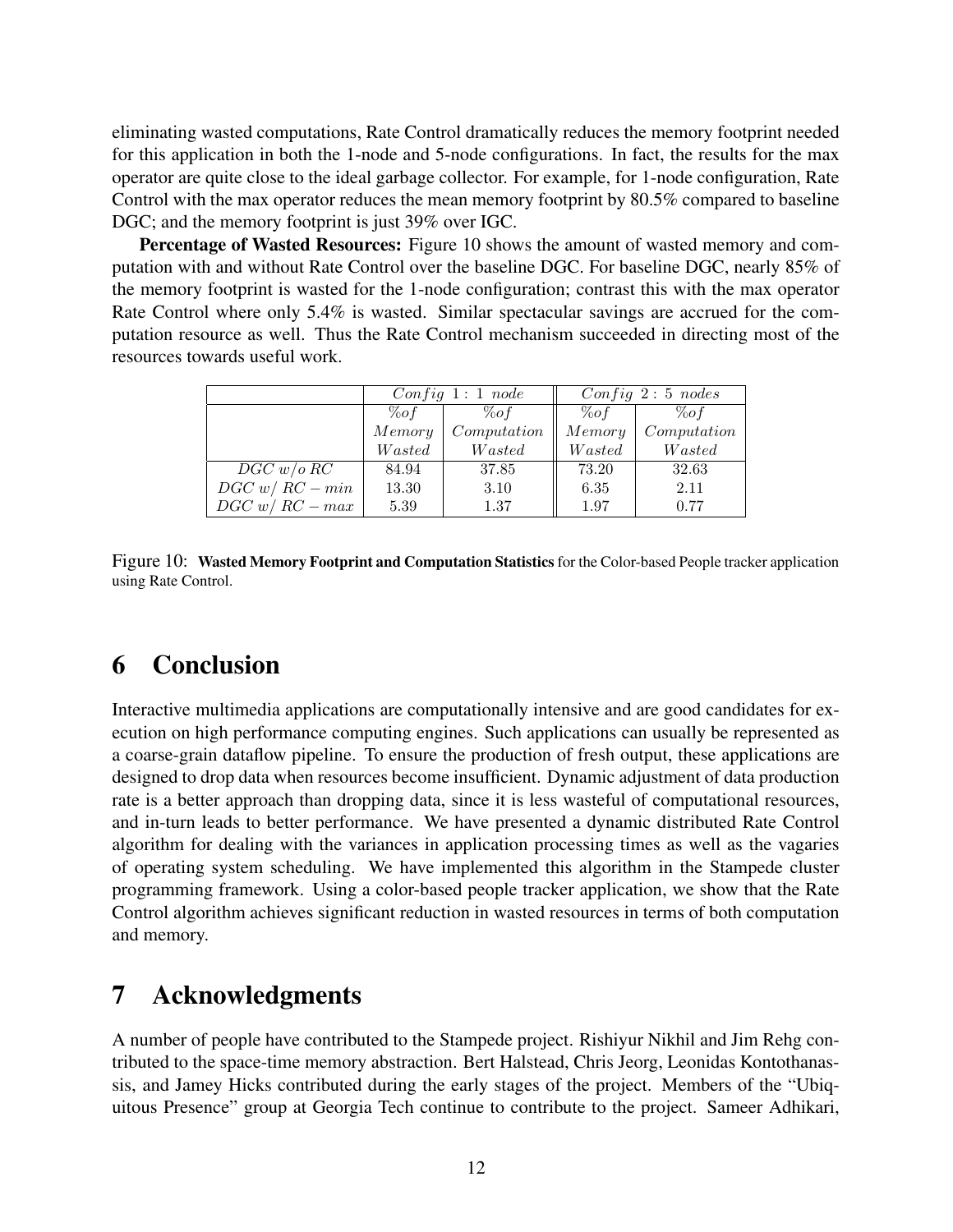eliminating wasted computations, Rate Control dramatically reduces the memory footprint needed for this application in both the 1-node and 5-node configurations. In fact, the results for the max operator are quite close to the ideal garbage collector. For example, for 1-node configuration, Rate Control with the max operator reduces the mean memory footprint by 80.5% compared to baseline DGC; and the memory footprint is just 39% over IGC.

**Percentage of Wasted Resources:** Figure 10 shows the amount of wasted memory and computation with and without Rate Control over the baseline DGC. For baseline DGC, nearly 85% of the memory footprint is wasted for the 1-node configuration; contrast this with the max operator Rate Control where only 5.4% is wasted. Similar spectacular savings are accrued for the computation resource as well. Thus the Rate Control mechanism succeeded in directing most of the resources towards useful work.

|                   |        | Config 1: 1 node | $Config\ 2:5\ nodes$ |             |  |
|-------------------|--------|------------------|----------------------|-------------|--|
|                   | $\%of$ | %o f             | $\%of$               | $\%of$      |  |
|                   | Memory | Computation      | Memory               | Computation |  |
|                   | Wasted | Wasted           | Wasted               | Wasted      |  |
| DGC w/o RC        | 84.94  | 37.85            | 73.20                | 32.63       |  |
| $DGC\ w/RC-min$   | 13.30  | 3.10             | 6.35                 | 2.11        |  |
| $DGC\ w/RC - max$ | 5.39   | 1.37             | 1.97                 | 0.77        |  |

Figure 10: **Wasted Memory Footprint and Computation Statistics** for the Color-based People tracker application using Rate Control.

# **6 Conclusion**

Interactive multimedia applications are computationally intensive and are good candidates for execution on high performance computing engines. Such applications can usually be represented as a coarse-grain dataflow pipeline. To ensure the production of fresh output, these applications are designed to drop data when resources become insufficient. Dynamic adjustment of data production rate is a better approach than dropping data, since it is less wasteful of computational resources, and in-turn leads to better performance. We have presented a dynamic distributed Rate Control algorithm for dealing with the variances in application processing times as well as the vagaries of operating system scheduling. We have implemented this algorithm in the Stampede cluster programming framework. Using a color-based people tracker application, we show that the Rate Control algorithm achieves significant reduction in wasted resources in terms of both computation and memory.

## **7 Acknowledgments**

A number of people have contributed to the Stampede project. Rishiyur Nikhil and Jim Rehg contributed to the space-time memory abstraction. Bert Halstead, Chris Jeorg, Leonidas Kontothanassis, and Jamey Hicks contributed during the early stages of the project. Members of the "Ubiquitous Presence" group at Georgia Tech continue to contribute to the project. Sameer Adhikari,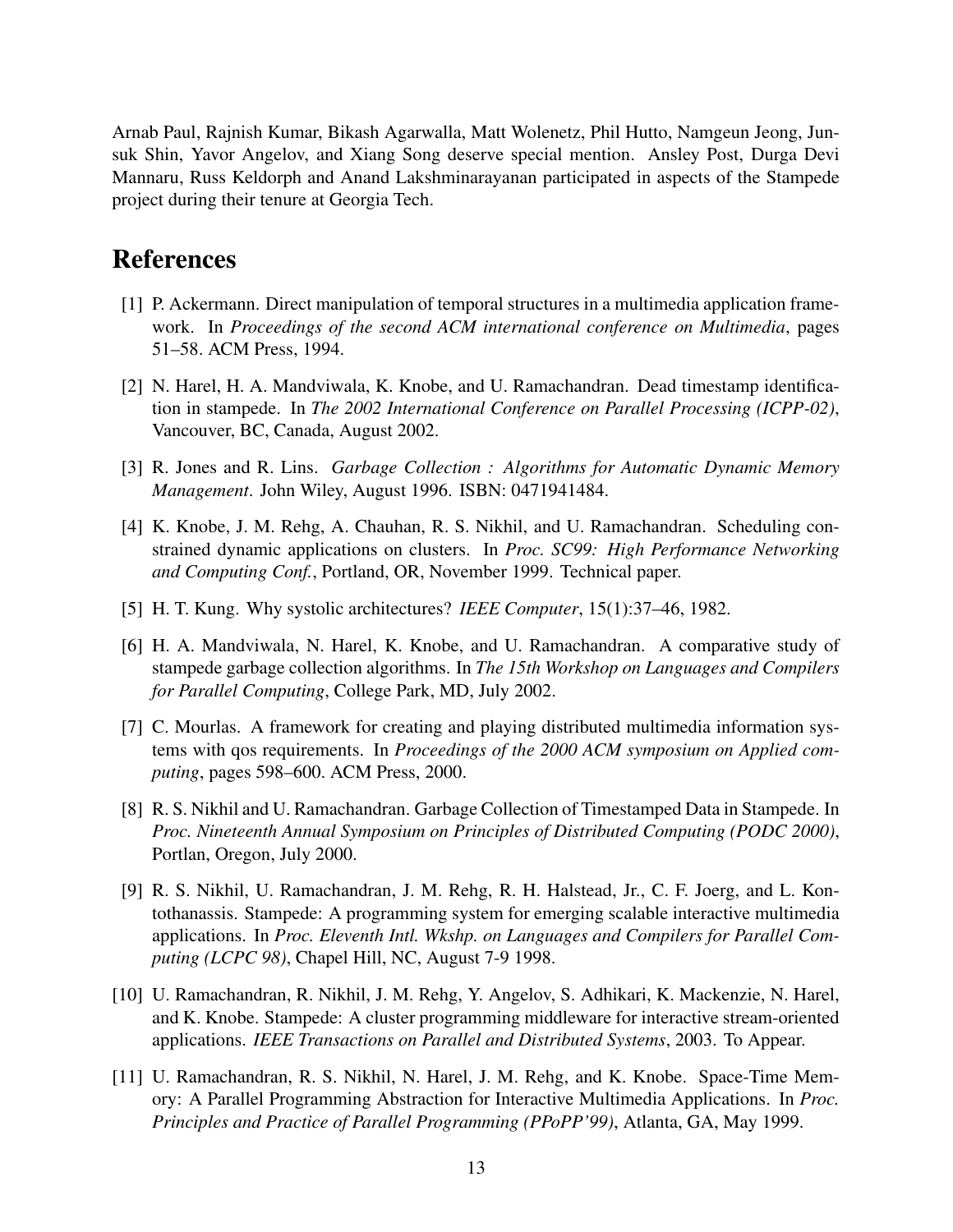Arnab Paul, Rajnish Kumar, Bikash Agarwalla, Matt Wolenetz, Phil Hutto, Namgeun Jeong, Junsuk Shin, Yavor Angelov, and Xiang Song deserve special mention. Ansley Post, Durga Devi Mannaru, Russ Keldorph and Anand Lakshminarayanan participated in aspects of the Stampede project during their tenure at Georgia Tech.

## **References**

- [1] P. Ackermann. Direct manipulation of temporal structures in a multimedia application framework. In *Proceedings of the second ACM international conference on Multimedia*, pages 51–58. ACM Press, 1994.
- [2] N. Harel, H. A. Mandviwala, K. Knobe, and U. Ramachandran. Dead timestamp identification in stampede. In *The 2002 International Conference on Parallel Processing (ICPP-02)*, Vancouver, BC, Canada, August 2002.
- [3] R. Jones and R. Lins. *Garbage Collection : Algorithms for Automatic Dynamic Memory Management*. John Wiley, August 1996. ISBN: 0471941484.
- [4] K. Knobe, J. M. Rehg, A. Chauhan, R. S. Nikhil, and U. Ramachandran. Scheduling constrained dynamic applications on clusters. In *Proc. SC99: High Performance Networking and Computing Conf.*, Portland, OR, November 1999. Technical paper.
- [5] H. T. Kung. Why systolic architectures? *IEEE Computer*, 15(1):37–46, 1982.
- [6] H. A. Mandviwala, N. Harel, K. Knobe, and U. Ramachandran. A comparative study of stampede garbage collection algorithms. In *The 15th Workshop on Languages and Compilers for Parallel Computing*, College Park, MD, July 2002.
- [7] C. Mourlas. A framework for creating and playing distributed multimedia information systems with qos requirements. In *Proceedings of the 2000 ACM symposium on Applied computing*, pages 598–600. ACM Press, 2000.
- [8] R. S. Nikhil and U. Ramachandran. Garbage Collection of Timestamped Data in Stampede. In *Proc. Nineteenth Annual Symposium on Principles of Distributed Computing (PODC 2000)*, Portlan, Oregon, July 2000.
- [9] R. S. Nikhil, U. Ramachandran, J. M. Rehg, R. H. Halstead, Jr., C. F. Joerg, and L. Kontothanassis. Stampede: A programming system for emerging scalable interactive multimedia applications. In *Proc. Eleventh Intl. Wkshp. on Languages and Compilers for Parallel Computing (LCPC 98)*, Chapel Hill, NC, August 7-9 1998.
- [10] U. Ramachandran, R. Nikhil, J. M. Rehg, Y. Angelov, S. Adhikari, K. Mackenzie, N. Harel, and K. Knobe. Stampede: A cluster programming middleware for interactive stream-oriented applications. *IEEE Transactions on Parallel and Distributed Systems*, 2003. To Appear.
- [11] U. Ramachandran, R. S. Nikhil, N. Harel, J. M. Rehg, and K. Knobe. Space-Time Memory: A Parallel Programming Abstraction for Interactive Multimedia Applications. In *Proc. Principles and Practice of Parallel Programming (PPoPP'99)*, Atlanta, GA, May 1999.